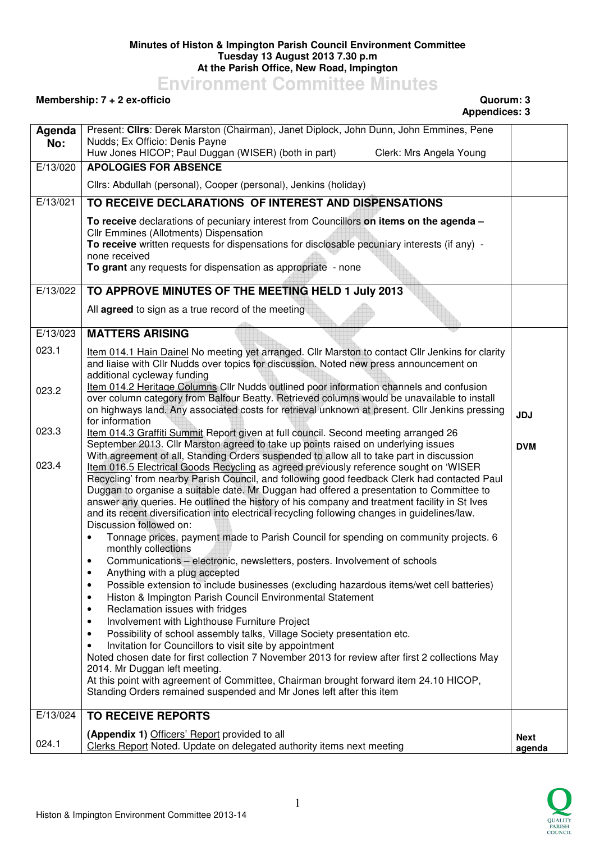## **Minutes of Histon & Impington Parish Council Environment Committee Tuesday 13 August 2013 7.30 p.m At the Parish Office, New Road, Impington**

**Environment Committee Minutes** 

## **Membership: 7 + 2 ex-officio Quorum: 3**

## **Appendices: 3**

| Agenda   | Present: Clirs: Derek Marston (Chairman), Janet Diplock, John Dunn, John Emmines, Pene<br>Nudds; Ex Officio: Denis Payne                                                                                                                                                                                                                                                                                                                                                                                     |                |
|----------|--------------------------------------------------------------------------------------------------------------------------------------------------------------------------------------------------------------------------------------------------------------------------------------------------------------------------------------------------------------------------------------------------------------------------------------------------------------------------------------------------------------|----------------|
| No:      | Huw Jones HICOP; Paul Duggan (WISER) (both in part)<br>Clerk: Mrs Angela Young                                                                                                                                                                                                                                                                                                                                                                                                                               |                |
| E/13/020 | <b>APOLOGIES FOR ABSENCE</b>                                                                                                                                                                                                                                                                                                                                                                                                                                                                                 |                |
|          | Cllrs: Abdullah (personal), Cooper (personal), Jenkins (holiday)                                                                                                                                                                                                                                                                                                                                                                                                                                             |                |
| E/13/021 | TO RECEIVE DECLARATIONS OF INTEREST AND DISPENSATIONS                                                                                                                                                                                                                                                                                                                                                                                                                                                        |                |
|          | To receive declarations of pecuniary interest from Councillors on items on the agenda -<br>Cllr Emmines (Allotments) Dispensation<br>To receive written requests for dispensations for disclosable pecuniary interests (if any) -<br>none received<br>To grant any requests for dispensation as appropriate - none                                                                                                                                                                                           |                |
| E/13/022 | TO APPROVE MINUTES OF THE MEETING HELD 1 July 2013                                                                                                                                                                                                                                                                                                                                                                                                                                                           |                |
|          | All agreed to sign as a true record of the meeting                                                                                                                                                                                                                                                                                                                                                                                                                                                           |                |
| E/13/023 | <b>MATTERS ARISING</b>                                                                                                                                                                                                                                                                                                                                                                                                                                                                                       |                |
| 023.1    | Item 014.1 Hain Dainel No meeting yet arranged. Cllr Marston to contact Cllr Jenkins for clarity<br>and liaise with Cllr Nudds over topics for discussion. Noted new press announcement on<br>additional cycleway funding                                                                                                                                                                                                                                                                                    |                |
| 023.2    | Item 014.2 Heritage Columns Cllr Nudds outlined poor information channels and confusion<br>over column category from Balfour Beatty. Retrieved columns would be unavailable to install<br>on highways land. Any associated costs for retrieval unknown at present. Cllr Jenkins pressing<br>for information                                                                                                                                                                                                  | <b>JDJ</b>     |
| 023.3    | Item 014.3 Graffiti Summit Report given at full council. Second meeting arranged 26<br>September 2013. Cllr Marston agreed to take up points raised on underlying issues<br>With agreement of all, Standing Orders suspended to allow all to take part in discussion                                                                                                                                                                                                                                         | <b>DVM</b>     |
| 023.4    | Item 016.5 Electrical Goods Recycling as agreed previously reference sought on 'WISER<br>Recycling' from nearby Parish Council, and following good feedback Clerk had contacted Paul<br>Duggan to organise a suitable date. Mr Duggan had offered a presentation to Committee to<br>answer any queries. He outlined the history of his company and treatment facility in St Ives<br>and its recent diversification into electrical recycling following changes in guidelines/law.<br>Discussion followed on: |                |
|          | Tonnage prices, payment made to Parish Council for spending on community projects. 6<br>$\bullet$<br>monthly collections                                                                                                                                                                                                                                                                                                                                                                                     |                |
|          | Communications - electronic, newsletters, posters. Involvement of schools<br>$\bullet$<br>Anything with a plug accepted<br>٠                                                                                                                                                                                                                                                                                                                                                                                 |                |
|          | Possible extension to include businesses (excluding hazardous items/wet cell batteries)<br>$\bullet$<br>Histon & Impington Parish Council Environmental Statement<br>$\bullet$<br>Reclamation issues with fridges<br>$\bullet$                                                                                                                                                                                                                                                                               |                |
|          | Involvement with Lighthouse Furniture Project<br>$\bullet$                                                                                                                                                                                                                                                                                                                                                                                                                                                   |                |
|          | Possibility of school assembly talks, Village Society presentation etc.<br>$\bullet$<br>Invitation for Councillors to visit site by appointment<br>$\bullet$                                                                                                                                                                                                                                                                                                                                                 |                |
|          | Noted chosen date for first collection 7 November 2013 for review after first 2 collections May<br>2014. Mr Duggan left meeting.                                                                                                                                                                                                                                                                                                                                                                             |                |
|          | At this point with agreement of Committee, Chairman brought forward item 24.10 HICOP,<br>Standing Orders remained suspended and Mr Jones left after this item                                                                                                                                                                                                                                                                                                                                                |                |
| E/13/024 | <b>TO RECEIVE REPORTS</b>                                                                                                                                                                                                                                                                                                                                                                                                                                                                                    |                |
| 024.1    | (Appendix 1) Officers' Report provided to all<br>Clerks Report Noted. Update on delegated authority items next meeting                                                                                                                                                                                                                                                                                                                                                                                       | Next<br>agenda |

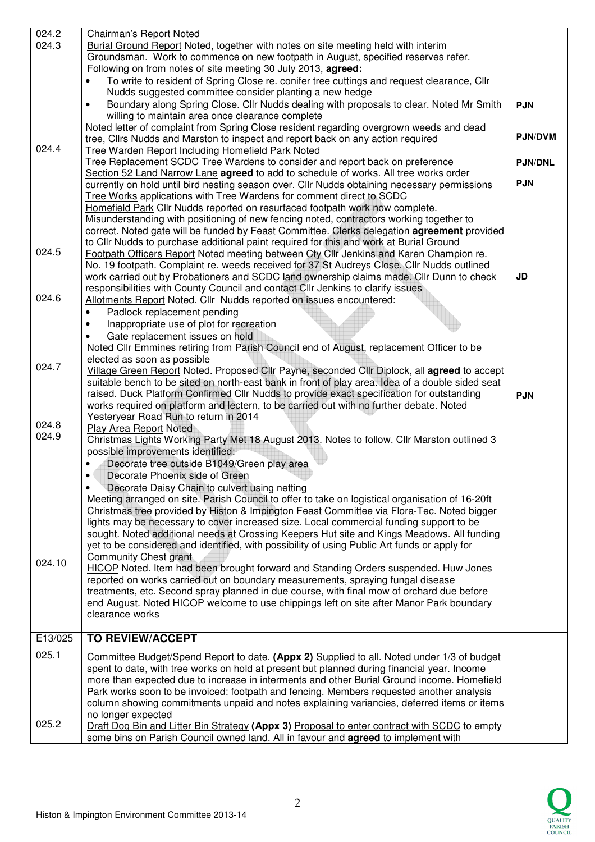| 024.2   | Chairman's Report Noted                                                                                                                                                                   |                |
|---------|-------------------------------------------------------------------------------------------------------------------------------------------------------------------------------------------|----------------|
| 024.3   | Burial Ground Report Noted, together with notes on site meeting held with interim                                                                                                         |                |
|         | Groundsman. Work to commence on new footpath in August, specified reserves refer.                                                                                                         |                |
|         | Following on from notes of site meeting 30 July 2013, agreed:                                                                                                                             |                |
|         | To write to resident of Spring Close re. conifer tree cuttings and request clearance, Cllr                                                                                                |                |
|         | Nudds suggested committee consider planting a new hedge                                                                                                                                   |                |
|         |                                                                                                                                                                                           |                |
|         | Boundary along Spring Close. Cllr Nudds dealing with proposals to clear. Noted Mr Smith<br>٠                                                                                              | <b>PJN</b>     |
|         | willing to maintain area once clearance complete                                                                                                                                          |                |
|         | Noted letter of complaint from Spring Close resident regarding overgrown weeds and dead                                                                                                   |                |
|         | tree, Cllrs Nudds and Marston to inspect and report back on any action required                                                                                                           | <b>PJN/DVM</b> |
| 024.4   | <b>Tree Warden Report Including Homefield Park Noted</b>                                                                                                                                  |                |
|         | Tree Replacement SCDC Tree Wardens to consider and report back on preference                                                                                                              | <b>PJN/DNL</b> |
|         | Section 52 Land Narrow Lane agreed to add to schedule of works. All tree works order                                                                                                      |                |
|         |                                                                                                                                                                                           | <b>PJN</b>     |
|         | currently on hold until bird nesting season over. Cllr Nudds obtaining necessary permissions                                                                                              |                |
|         | Tree Works applications with Tree Wardens for comment direct to SCDC                                                                                                                      |                |
|         | Homefield Park Cllr Nudds reported on resurfaced footpath work now complete.                                                                                                              |                |
|         | Misunderstanding with positioning of new fencing noted, contractors working together to                                                                                                   |                |
|         | correct. Noted gate will be funded by Feast Committee. Clerks delegation agreement provided                                                                                               |                |
|         | to Cllr Nudds to purchase additional paint required for this and work at Burial Ground                                                                                                    |                |
| 024.5   | Footpath Officers Report Noted meeting between Cty Cllr Jenkins and Karen Champion re.                                                                                                    |                |
|         |                                                                                                                                                                                           |                |
|         | No. 19 footpath. Complaint re. weeds received for 37 St Audreys Close. Cllr Nudds outlined                                                                                                |                |
|         | work carried out by Probationers and SCDC land ownership claims made. Cllr Dunn to check                                                                                                  | JD             |
|         | responsibilities with County Council and contact Cllr Jenkins to clarify issues                                                                                                           |                |
| 024.6   | Allotments Report Noted. Cllr Nudds reported on issues encountered:                                                                                                                       |                |
|         | Padlock replacement pending<br>$\bullet$                                                                                                                                                  |                |
|         | Inappropriate use of plot for recreation<br>٠                                                                                                                                             |                |
|         | Gate replacement issues on hold                                                                                                                                                           |                |
|         |                                                                                                                                                                                           |                |
|         | Noted Cllr Emmines retiring from Parish Council end of August, replacement Officer to be                                                                                                  |                |
| 024.7   | elected as soon as possible                                                                                                                                                               |                |
|         | Village Green Report Noted. Proposed Cllr Payne, seconded Cllr Diplock, all agreed to accept                                                                                              |                |
|         | suitable bench to be sited on north-east bank in front of play area. Idea of a double sided seat                                                                                          |                |
|         | raised. Duck Platform Confirmed Cllr Nudds to provide exact specification for outstanding                                                                                                 | <b>PJN</b>     |
|         | works required on platform and lectern, to be carried out with no further debate. Noted                                                                                                   |                |
|         | Yesteryear Road Run to return in 2014                                                                                                                                                     |                |
| 024.8   | Play Area Report Noted                                                                                                                                                                    |                |
| 024.9   | Christmas Lights Working Party Met 18 August 2013. Notes to follow. Cllr Marston outlined 3                                                                                               |                |
|         | possible improvements identified:                                                                                                                                                         |                |
|         |                                                                                                                                                                                           |                |
|         | Decorate tree outside B1049/Green play area                                                                                                                                               |                |
|         | Decorate Phoenix side of Green                                                                                                                                                            |                |
|         | Decorate Daisy Chain to culvert using netting                                                                                                                                             |                |
|         | Meeting arranged on site. Parish Council to offer to take on logistical organisation of 16-20ft                                                                                           |                |
|         | Christmas tree provided by Histon & Impington Feast Committee via Flora-Tec. Noted bigger                                                                                                 |                |
|         | lights may be necessary to cover increased size. Local commercial funding support to be                                                                                                   |                |
|         | sought. Noted additional needs at Crossing Keepers Hut site and Kings Meadows. All funding                                                                                                |                |
|         | yet to be considered and identified, with possibility of using Public Art funds or apply for                                                                                              |                |
|         |                                                                                                                                                                                           |                |
| 024.10  | <b>Community Chest grant</b>                                                                                                                                                              |                |
|         | HICOP Noted. Item had been brought forward and Standing Orders suspended. Huw Jones                                                                                                       |                |
|         | reported on works carried out on boundary measurements, spraying fungal disease                                                                                                           |                |
|         | treatments, etc. Second spray planned in due course, with final mow of orchard due before                                                                                                 |                |
|         | end August. Noted HICOP welcome to use chippings left on site after Manor Park boundary                                                                                                   |                |
|         | clearance works                                                                                                                                                                           |                |
|         |                                                                                                                                                                                           |                |
| E13/025 | <b>TO REVIEW/ACCEPT</b>                                                                                                                                                                   |                |
|         |                                                                                                                                                                                           |                |
| 025.1   | Committee Budget/Spend Report to date. (Appx 2) Supplied to all. Noted under 1/3 of budget                                                                                                |                |
|         | spent to date, with tree works on hold at present but planned during financial year. Income                                                                                               |                |
|         | more than expected due to increase in interments and other Burial Ground income. Homefield                                                                                                |                |
|         |                                                                                                                                                                                           |                |
|         | Park works soon to be invoiced: footpath and fencing. Members requested another analysis                                                                                                  |                |
|         |                                                                                                                                                                                           |                |
|         | column showing commitments unpaid and notes explaining variancies, deferred items or items                                                                                                |                |
|         | no longer expected                                                                                                                                                                        |                |
| 025.2   | Draft Dog Bin and Litter Bin Strategy (Appx 3) Proposal to enter contract with SCDC to empty<br>some bins on Parish Council owned land. All in favour and <b>agreed</b> to implement with |                |